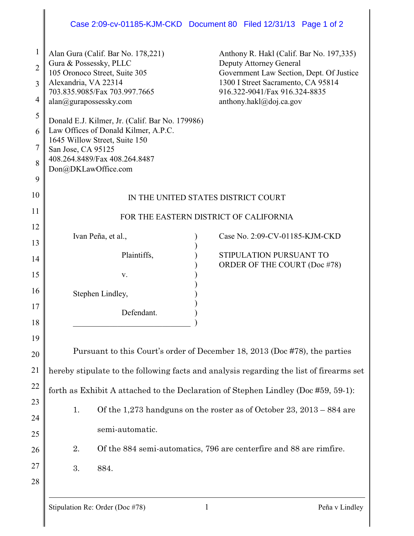## Case 2:09-cv-01185-KJM-CKD Document 80 Filed 12/31/13 Page 1 of 2

| $\mathbf 1$<br>$\overline{2}$<br>3<br>$\overline{4}$ | Alan Gura (Calif. Bar No. 178,221)<br>Gura & Possessky, PLLC<br>105 Oronoco Street, Suite 305<br>Alexandria, VA 22314<br>703.835.9085/Fax 703.997.7665<br>alan@gurapossessky.com                                                                                                | Anthony R. Hakl (Calif. Bar No. 197,335)<br>Deputy Attorney General<br>Government Law Section, Dept. Of Justice<br>1300 I Street Sacramento, CA 95814<br>916.322-9041/Fax 916.324-8835<br>anthony.hakl@doj.ca.gov |
|------------------------------------------------------|---------------------------------------------------------------------------------------------------------------------------------------------------------------------------------------------------------------------------------------------------------------------------------|-------------------------------------------------------------------------------------------------------------------------------------------------------------------------------------------------------------------|
| 5                                                    | Donald E.J. Kilmer, Jr. (Calif. Bar No. 179986)<br>Law Offices of Donald Kilmer, A.P.C.<br>1645 Willow Street, Suite 150                                                                                                                                                        |                                                                                                                                                                                                                   |
| 6                                                    |                                                                                                                                                                                                                                                                                 |                                                                                                                                                                                                                   |
| 7<br>8                                               | San Jose, CA 95125<br>408.264.8489/Fax 408.264.8487                                                                                                                                                                                                                             |                                                                                                                                                                                                                   |
| 9                                                    | Don@DKLawOffice.com                                                                                                                                                                                                                                                             |                                                                                                                                                                                                                   |
| 10                                                   | IN THE UNITED STATES DISTRICT COURT                                                                                                                                                                                                                                             |                                                                                                                                                                                                                   |
| 11                                                   | FOR THE EASTERN DISTRICT OF CALIFORNIA                                                                                                                                                                                                                                          |                                                                                                                                                                                                                   |
| 12                                                   | Ivan Peña, et al.,                                                                                                                                                                                                                                                              | Case No. 2:09-CV-01185-KJM-CKD                                                                                                                                                                                    |
| 13                                                   |                                                                                                                                                                                                                                                                                 |                                                                                                                                                                                                                   |
| 14                                                   | Plaintiffs,                                                                                                                                                                                                                                                                     | STIPULATION PURSUANT TO<br>ORDER OF THE COURT (Doc #78)                                                                                                                                                           |
| 15                                                   | V.                                                                                                                                                                                                                                                                              |                                                                                                                                                                                                                   |
| 16                                                   | Stephen Lindley,                                                                                                                                                                                                                                                                |                                                                                                                                                                                                                   |
| 17                                                   | Defendant.                                                                                                                                                                                                                                                                      |                                                                                                                                                                                                                   |
| 18                                                   |                                                                                                                                                                                                                                                                                 |                                                                                                                                                                                                                   |
| 19                                                   |                                                                                                                                                                                                                                                                                 |                                                                                                                                                                                                                   |
| 20                                                   | Pursuant to this Court's order of December 18, 2013 (Doc #78), the parties                                                                                                                                                                                                      |                                                                                                                                                                                                                   |
| 21                                                   | hereby stipulate to the following facts and analysis regarding the list of firearms set                                                                                                                                                                                         |                                                                                                                                                                                                                   |
| 22                                                   | forth as Exhibit A attached to the Declaration of Stephen Lindley (Doc #59, 59-1):<br>Of the 1,273 handguns on the roster as of October 23, $2013 - 884$ are<br>1.<br>semi-automatic.<br>2.<br>Of the 884 semi-automatics, 796 are centerfire and 88 are rimfire.<br>884.<br>3. |                                                                                                                                                                                                                   |
| 23<br>24                                             |                                                                                                                                                                                                                                                                                 |                                                                                                                                                                                                                   |
| 25                                                   |                                                                                                                                                                                                                                                                                 |                                                                                                                                                                                                                   |
| 26                                                   |                                                                                                                                                                                                                                                                                 |                                                                                                                                                                                                                   |
| 27                                                   |                                                                                                                                                                                                                                                                                 |                                                                                                                                                                                                                   |
| 28                                                   |                                                                                                                                                                                                                                                                                 |                                                                                                                                                                                                                   |
|                                                      |                                                                                                                                                                                                                                                                                 |                                                                                                                                                                                                                   |
|                                                      | Stipulation Re: Order (Doc #78)                                                                                                                                                                                                                                                 | Peña v Lindley<br>1                                                                                                                                                                                               |